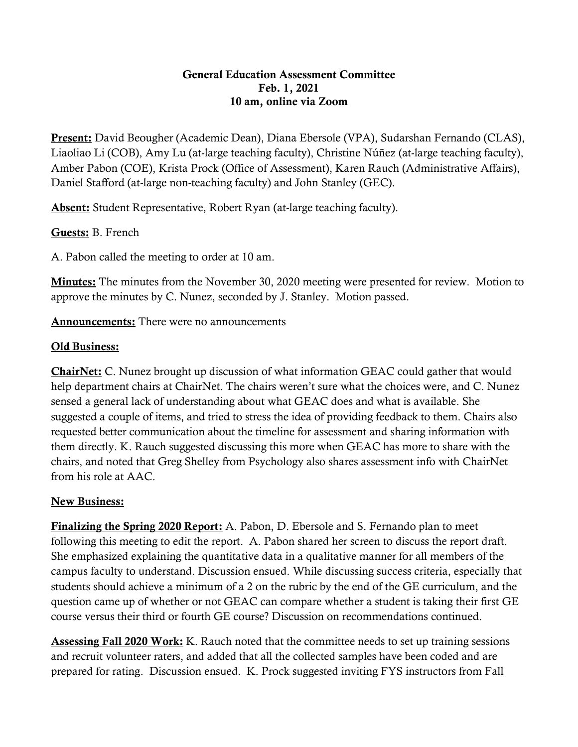## General Education Assessment Committee Feb. 1, 2021 10 am, online via Zoom

Present: David Beougher (Academic Dean), Diana Ebersole (VPA), Sudarshan Fernando (CLAS), Liaoliao Li (COB), Amy Lu (at-large teaching faculty), Christine Núñez (at-large teaching faculty), Amber Pabon (COE), Krista Prock (Office of Assessment), Karen Rauch (Administrative Affairs), Daniel Stafford (at-large non-teaching faculty) and John Stanley (GEC).

Absent: Student Representative, Robert Ryan (at-large teaching faculty).

## Guests: B. French

A. Pabon called the meeting to order at 10 am.

Minutes: The minutes from the November 30, 2020 meeting were presented for review. Motion to approve the minutes by C. Nunez, seconded by J. Stanley. Motion passed.

Announcements: There were no announcements

## Old Business:

**ChairNet:** C. Nunez brought up discussion of what information GEAC could gather that would help department chairs at ChairNet. The chairs weren't sure what the choices were, and C. Nunez sensed a general lack of understanding about what GEAC does and what is available. She suggested a couple of items, and tried to stress the idea of providing feedback to them. Chairs also requested better communication about the timeline for assessment and sharing information with them directly. K. Rauch suggested discussing this more when GEAC has more to share with the chairs, and noted that Greg Shelley from Psychology also shares assessment info with ChairNet from his role at AAC.

## New Business:

Finalizing the Spring 2020 Report: A. Pabon, D. Ebersole and S. Fernando plan to meet following this meeting to edit the report. A. Pabon shared her screen to discuss the report draft. She emphasized explaining the quantitative data in a qualitative manner for all members of the campus faculty to understand. Discussion ensued. While discussing success criteria, especially that students should achieve a minimum of a 2 on the rubric by the end of the GE curriculum, and the question came up of whether or not GEAC can compare whether a student is taking their first GE course versus their third or fourth GE course? Discussion on recommendations continued.

Assessing Fall 2020 Work: K. Rauch noted that the committee needs to set up training sessions and recruit volunteer raters, and added that all the collected samples have been coded and are prepared for rating. Discussion ensued. K. Prock suggested inviting FYS instructors from Fall